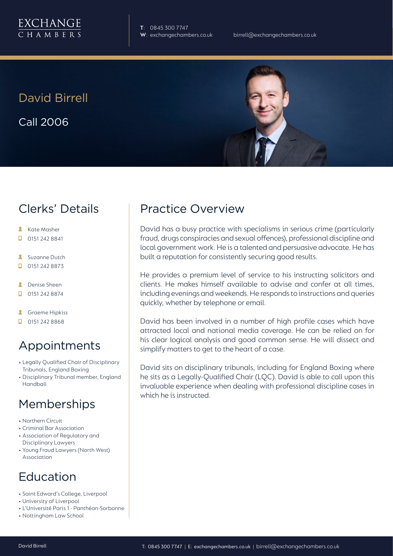

**T**: 0845 300 7747

David Birrell Call 2006



### Clerks' Details

- **Kate Masher**
- 0151 242 8841  $\Box$
- **Suzanne Dutch**
- $\Box$ 0151 242 8873
- **A** Denise Sheen
- $\Box$ 0151 242 8874
- я Graeme Hipkiss
- $\Box$  0151 242 8868

# Appointments

- Legally Qualified Chair of Disciplinary Tribunals, England Boxing
- Disciplinary Tribunal member, England Handball

#### **Memberships**

- Northern Circuit
- Criminal Bar Association
- Association of Regulatory and Disciplinary Lawyers
- Young Fraud Lawyers (North West) Association

# Education

- Saint Edward's College, Liverpool
- University of Liverpool
- L'Université Paris 1 Panthéon-Sorbonne
- Nottingham Law School

### Practice Overview

David has a busy practice with specialisms in serious crime (particularly fraud, drugs conspiracies and sexual offences), professional discipline and local government work. He is a talented and persuasive advocate. He has built a reputation for consistently securing good results.

He provides a premium level of service to his instructing solicitors and clients. He makes himself available to advise and confer at all times, including evenings and weekends. He responds to instructions and queries quickly, whether by telephone or email.

David has been involved in a number of high profile cases which have attracted local and national media coverage. He can be relied on for his clear logical analysis and good common sense. He will dissect and simplify matters to get to the heart of a case.

David sits on disciplinary tribunals, including for England Boxing where he sits as a Legally-Qualified Chair (LQC). David is able to call upon this invaluable experience when dealing with professional discipline cases in which he is instructed.